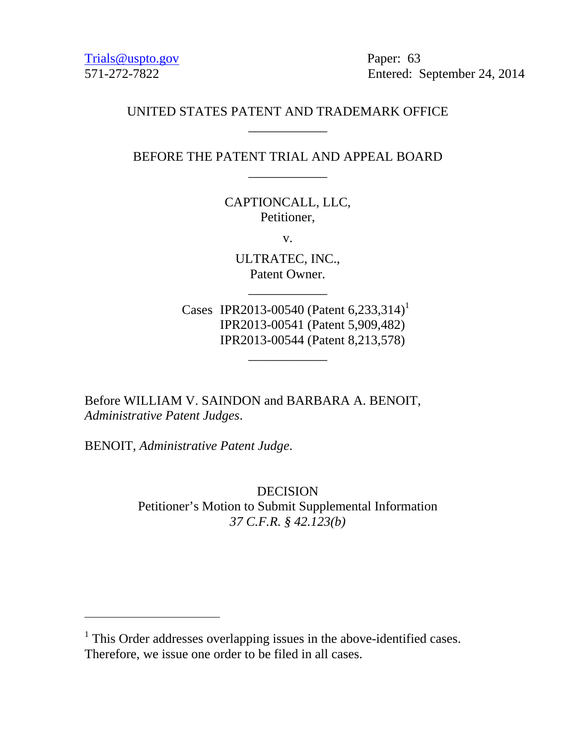Trials@uspto.gov Paper: 63

571-272-7822 Entered: September 24, 2014

# UNITED STATES PATENT AND TRADEMARK OFFICE \_\_\_\_\_\_\_\_\_\_\_\_

BEFORE THE PATENT TRIAL AND APPEAL BOARD \_\_\_\_\_\_\_\_\_\_\_\_

> CAPTIONCALL, LLC, Petitioner,

> > v.

ULTRATEC, INC., Patent Owner.

\_\_\_\_\_\_\_\_\_\_\_\_

\_\_\_\_\_\_\_\_\_\_\_\_

Cases IPR2013-00540 (Patent 6,233,314)<sup>1</sup> IPR2013-00541 (Patent 5,909,482) IPR2013-00544 (Patent 8,213,578)

Before WILLIAM V. SAINDON and BARBARA A. BENOIT, *Administrative Patent Judges*.

BENOIT, *Administrative Patent Judge*.

-

DECISION Petitioner's Motion to Submit Supplemental Information *37 C.F.R. § 42.123(b)* 

 $<sup>1</sup>$  This Order addresses overlapping issues in the above-identified cases.</sup> Therefore, we issue one order to be filed in all cases.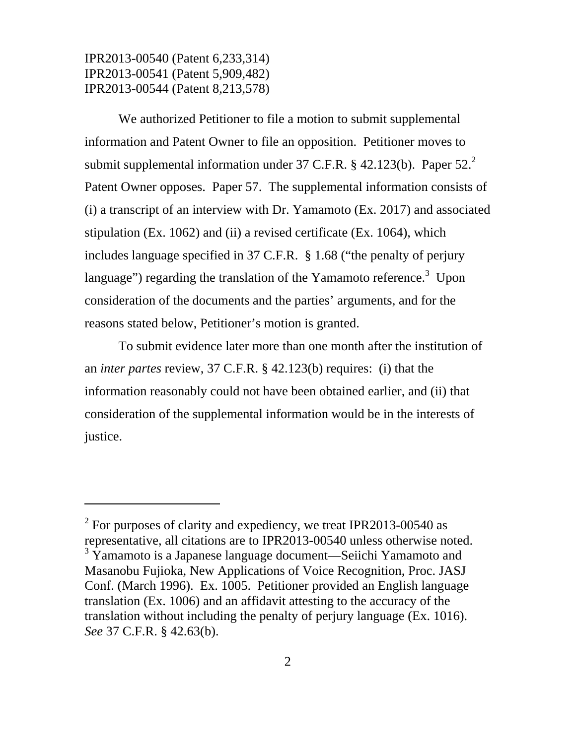-

We authorized Petitioner to file a motion to submit supplemental information and Patent Owner to file an opposition. Petitioner moves to submit supplemental information under 37 C.F.R.  $\S$  42.123(b). Paper 52.<sup>2</sup> Patent Owner opposes. Paper 57. The supplemental information consists of (i) a transcript of an interview with Dr. Yamamoto (Ex. 2017) and associated stipulation (Ex. 1062) and (ii) a revised certificate (Ex. 1064), which includes language specified in 37 C.F.R. § 1.68 ("the penalty of perjury language") regarding the translation of the Yamamoto reference.<sup>3</sup> Upon consideration of the documents and the parties' arguments, and for the reasons stated below, Petitioner's motion is granted.

To submit evidence later more than one month after the institution of an *inter partes* review, 37 C.F.R. § 42.123(b) requires: (i) that the information reasonably could not have been obtained earlier, and (ii) that consideration of the supplemental information would be in the interests of justice.

 $2^2$  For purposes of clarity and expediency, we treat IPR2013-00540 as representative, all citations are to IPR2013-00540 unless otherwise noted.  $3 \text{ Y}$ amamoto is a Japanese language document—Seiichi Yamamoto and Masanobu Fujioka, New Applications of Voice Recognition, Proc. JASJ Conf. (March 1996). Ex. 1005. Petitioner provided an English language translation (Ex. 1006) and an affidavit attesting to the accuracy of the translation without including the penalty of perjury language (Ex. 1016). *See* 37 C.F.R. § 42.63(b).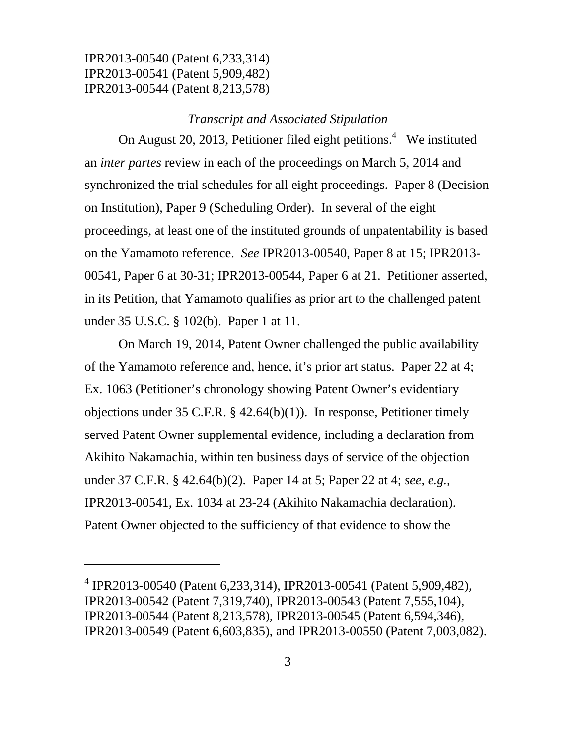-

#### *Transcript and Associated Stipulation*

On August 20, 2013, Petitioner filed eight petitions. $4$  We instituted an *inter partes* review in each of the proceedings on March 5, 2014 and synchronized the trial schedules for all eight proceedings. Paper 8 (Decision on Institution), Paper 9 (Scheduling Order). In several of the eight proceedings, at least one of the instituted grounds of unpatentability is based on the Yamamoto reference. *See* IPR2013-00540, Paper 8 at 15; IPR2013- 00541, Paper 6 at 30-31; IPR2013-00544, Paper 6 at 21. Petitioner asserted, in its Petition, that Yamamoto qualifies as prior art to the challenged patent under 35 U.S.C. § 102(b). Paper 1 at 11.

On March 19, 2014, Patent Owner challenged the public availability of the Yamamoto reference and, hence, it's prior art status. Paper 22 at 4; Ex. 1063 (Petitioner's chronology showing Patent Owner's evidentiary objections under 35 C.F.R. § 42.64(b)(1)). In response, Petitioner timely served Patent Owner supplemental evidence, including a declaration from Akihito Nakamachia, within ten business days of service of the objection under 37 C.F.R. § 42.64(b)(2). Paper 14 at 5; Paper 22 at 4; *see, e.g.,* IPR2013-00541, Ex. 1034 at 23-24 (Akihito Nakamachia declaration). Patent Owner objected to the sufficiency of that evidence to show the

<sup>4</sup> IPR2013-00540 (Patent 6,233,314), IPR2013-00541 (Patent 5,909,482), IPR2013-00542 (Patent 7,319,740), IPR2013-00543 (Patent 7,555,104), IPR2013-00544 (Patent 8,213,578), IPR2013-00545 (Patent 6,594,346), IPR2013-00549 (Patent 6,603,835), and IPR2013-00550 (Patent 7,003,082).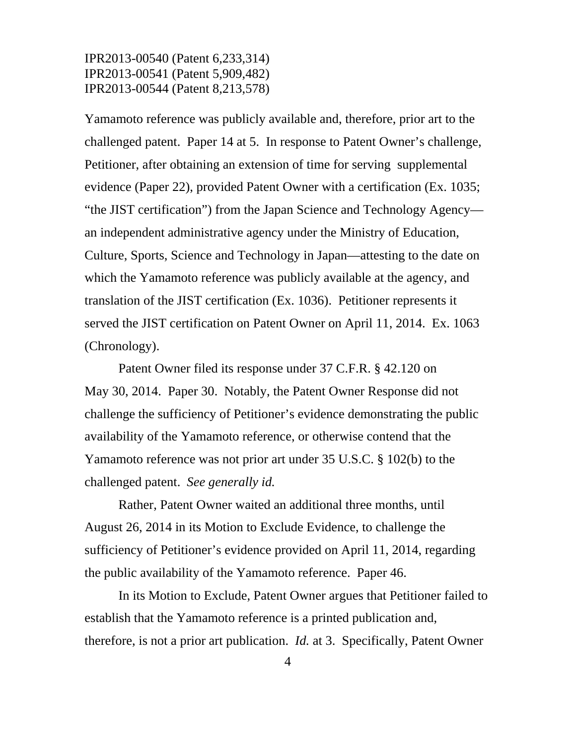Yamamoto reference was publicly available and, therefore, prior art to the challenged patent. Paper 14 at 5. In response to Patent Owner's challenge, Petitioner, after obtaining an extension of time for serving supplemental evidence (Paper 22), provided Patent Owner with a certification (Ex. 1035; "the JIST certification") from the Japan Science and Technology Agency an independent administrative agency under the Ministry of Education, Culture, Sports, Science and Technology in Japan—attesting to the date on which the Yamamoto reference was publicly available at the agency, and translation of the JIST certification (Ex. 1036). Petitioner represents it served the JIST certification on Patent Owner on April 11, 2014. Ex. 1063 (Chronology).

Patent Owner filed its response under 37 C.F.R. § 42.120 on May 30, 2014. Paper 30. Notably, the Patent Owner Response did not challenge the sufficiency of Petitioner's evidence demonstrating the public availability of the Yamamoto reference, or otherwise contend that the Yamamoto reference was not prior art under 35 U.S.C. § 102(b) to the challenged patent. *See generally id.*

Rather, Patent Owner waited an additional three months, until August 26, 2014 in its Motion to Exclude Evidence, to challenge the sufficiency of Petitioner's evidence provided on April 11, 2014, regarding the public availability of the Yamamoto reference. Paper 46.

In its Motion to Exclude, Patent Owner argues that Petitioner failed to establish that the Yamamoto reference is a printed publication and, therefore, is not a prior art publication. *Id.* at 3. Specifically, Patent Owner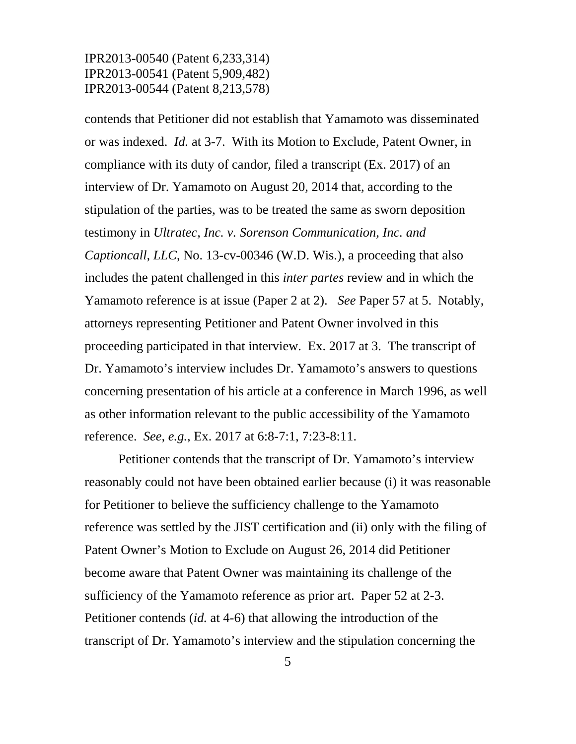contends that Petitioner did not establish that Yamamoto was disseminated or was indexed. *Id.* at 3-7. With its Motion to Exclude, Patent Owner, in compliance with its duty of candor, filed a transcript (Ex. 2017) of an interview of Dr. Yamamoto on August 20, 2014 that, according to the stipulation of the parties, was to be treated the same as sworn deposition testimony in *Ultratec, Inc. v. Sorenson Communication, Inc. and Captioncall, LLC*, No. 13-cv-00346 (W.D. Wis.), a proceeding that also includes the patent challenged in this *inter partes* review and in which the Yamamoto reference is at issue (Paper 2 at 2). *See* Paper 57 at 5. Notably, attorneys representing Petitioner and Patent Owner involved in this proceeding participated in that interview. Ex. 2017 at 3. The transcript of Dr. Yamamoto's interview includes Dr. Yamamoto's answers to questions concerning presentation of his article at a conference in March 1996, as well as other information relevant to the public accessibility of the Yamamoto reference. *See, e.g.*, Ex. 2017 at 6:8-7:1, 7:23-8:11.

Petitioner contends that the transcript of Dr. Yamamoto's interview reasonably could not have been obtained earlier because (i) it was reasonable for Petitioner to believe the sufficiency challenge to the Yamamoto reference was settled by the JIST certification and (ii) only with the filing of Patent Owner's Motion to Exclude on August 26, 2014 did Petitioner become aware that Patent Owner was maintaining its challenge of the sufficiency of the Yamamoto reference as prior art. Paper 52 at 2-3. Petitioner contends (*id.* at 4-6) that allowing the introduction of the transcript of Dr. Yamamoto's interview and the stipulation concerning the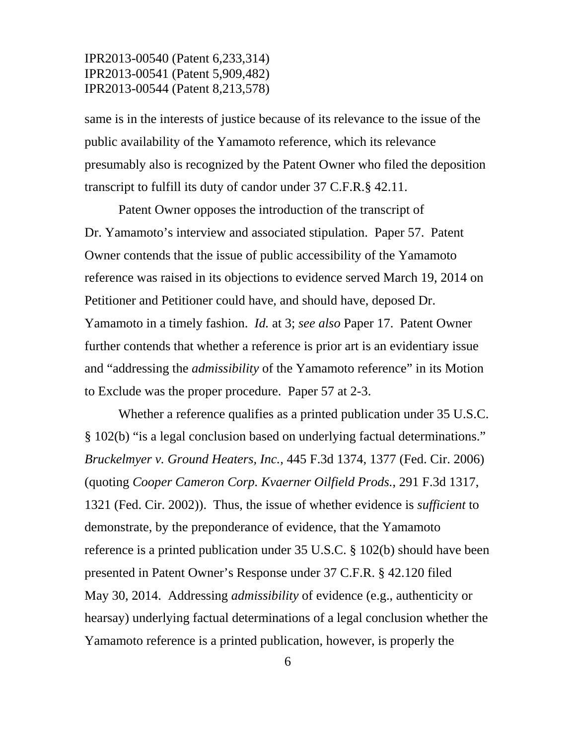same is in the interests of justice because of its relevance to the issue of the public availability of the Yamamoto reference, which its relevance presumably also is recognized by the Patent Owner who filed the deposition transcript to fulfill its duty of candor under 37 C.F.R.§ 42.11.

Patent Owner opposes the introduction of the transcript of Dr. Yamamoto's interview and associated stipulation. Paper 57. Patent Owner contends that the issue of public accessibility of the Yamamoto reference was raised in its objections to evidence served March 19, 2014 on Petitioner and Petitioner could have, and should have, deposed Dr. Yamamoto in a timely fashion. *Id.* at 3; *see also* Paper 17. Patent Owner further contends that whether a reference is prior art is an evidentiary issue and "addressing the *admissibility* of the Yamamoto reference" in its Motion to Exclude was the proper procedure. Paper 57 at 2-3.

Whether a reference qualifies as a printed publication under 35 U.S.C. § 102(b) "is a legal conclusion based on underlying factual determinations." *Bruckelmyer v. Ground Heaters, Inc.*, 445 F.3d 1374, 1377 (Fed. Cir. 2006) (quoting *Cooper Cameron Corp. Kvaerner Oilfield Prods.*, 291 F.3d 1317, 1321 (Fed. Cir. 2002)). Thus, the issue of whether evidence is *sufficient* to demonstrate, by the preponderance of evidence, that the Yamamoto reference is a printed publication under 35 U.S.C. § 102(b) should have been presented in Patent Owner's Response under 37 C.F.R. § 42.120 filed May 30, 2014. Addressing *admissibility* of evidence (e.g., authenticity or hearsay) underlying factual determinations of a legal conclusion whether the Yamamoto reference is a printed publication, however, is properly the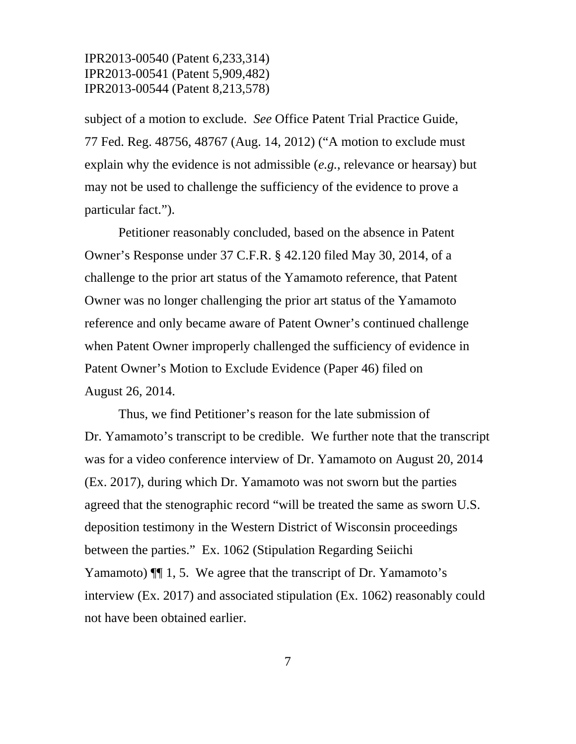subject of a motion to exclude. *See* Office Patent Trial Practice Guide, 77 Fed. Reg. 48756, 48767 (Aug. 14, 2012) ("A motion to exclude must explain why the evidence is not admissible (*e.g.*, relevance or hearsay) but may not be used to challenge the sufficiency of the evidence to prove a particular fact.").

Petitioner reasonably concluded, based on the absence in Patent Owner's Response under 37 C.F.R. § 42.120 filed May 30, 2014, of a challenge to the prior art status of the Yamamoto reference, that Patent Owner was no longer challenging the prior art status of the Yamamoto reference and only became aware of Patent Owner's continued challenge when Patent Owner improperly challenged the sufficiency of evidence in Patent Owner's Motion to Exclude Evidence (Paper 46) filed on August 26, 2014.

Thus, we find Petitioner's reason for the late submission of Dr. Yamamoto's transcript to be credible. We further note that the transcript was for a video conference interview of Dr. Yamamoto on August 20, 2014 (Ex. 2017), during which Dr. Yamamoto was not sworn but the parties agreed that the stenographic record "will be treated the same as sworn U.S. deposition testimony in the Western District of Wisconsin proceedings between the parties." Ex. 1062 (Stipulation Regarding Seiichi Yamamoto)  $\P$  1, 5. We agree that the transcript of Dr. Yamamoto's interview (Ex. 2017) and associated stipulation (Ex. 1062) reasonably could not have been obtained earlier.

7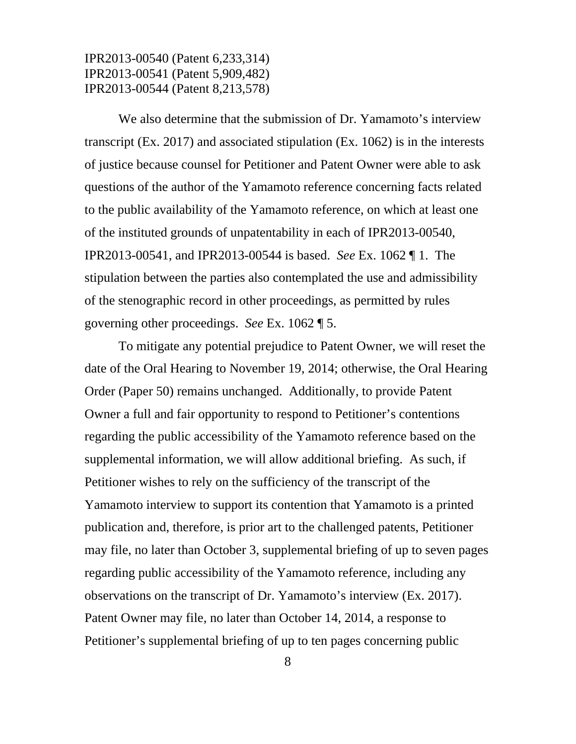We also determine that the submission of Dr. Yamamoto's interview transcript (Ex. 2017) and associated stipulation (Ex. 1062) is in the interests of justice because counsel for Petitioner and Patent Owner were able to ask questions of the author of the Yamamoto reference concerning facts related to the public availability of the Yamamoto reference, on which at least one of the instituted grounds of unpatentability in each of IPR2013-00540, IPR2013-00541, and IPR2013-00544 is based. *See* Ex. 1062 ¶ 1. The stipulation between the parties also contemplated the use and admissibility of the stenographic record in other proceedings, as permitted by rules governing other proceedings. *See* Ex. 1062 ¶ 5.

To mitigate any potential prejudice to Patent Owner, we will reset the date of the Oral Hearing to November 19, 2014; otherwise, the Oral Hearing Order (Paper 50) remains unchanged. Additionally, to provide Patent Owner a full and fair opportunity to respond to Petitioner's contentions regarding the public accessibility of the Yamamoto reference based on the supplemental information, we will allow additional briefing. As such, if Petitioner wishes to rely on the sufficiency of the transcript of the Yamamoto interview to support its contention that Yamamoto is a printed publication and, therefore, is prior art to the challenged patents, Petitioner may file, no later than October 3, supplemental briefing of up to seven pages regarding public accessibility of the Yamamoto reference, including any observations on the transcript of Dr. Yamamoto's interview (Ex. 2017). Patent Owner may file, no later than October 14, 2014, a response to Petitioner's supplemental briefing of up to ten pages concerning public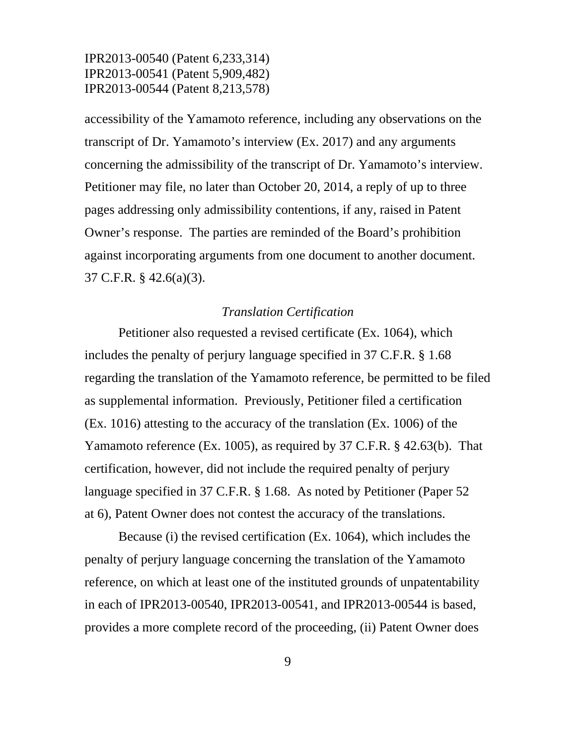accessibility of the Yamamoto reference, including any observations on the transcript of Dr. Yamamoto's interview (Ex. 2017) and any arguments concerning the admissibility of the transcript of Dr. Yamamoto's interview. Petitioner may file, no later than October 20, 2014, a reply of up to three pages addressing only admissibility contentions, if any, raised in Patent Owner's response. The parties are reminded of the Board's prohibition against incorporating arguments from one document to another document. 37 C.F.R. § 42.6(a)(3).

#### *Translation Certification*

Petitioner also requested a revised certificate (Ex. 1064), which includes the penalty of perjury language specified in 37 C.F.R. § 1.68 regarding the translation of the Yamamoto reference, be permitted to be filed as supplemental information. Previously, Petitioner filed a certification (Ex. 1016) attesting to the accuracy of the translation (Ex. 1006) of the Yamamoto reference (Ex. 1005), as required by 37 C.F.R. § 42.63(b). That certification, however, did not include the required penalty of perjury language specified in 37 C.F.R. § 1.68. As noted by Petitioner (Paper 52 at 6), Patent Owner does not contest the accuracy of the translations.

Because (i) the revised certification (Ex. 1064), which includes the penalty of perjury language concerning the translation of the Yamamoto reference, on which at least one of the instituted grounds of unpatentability in each of IPR2013-00540, IPR2013-00541, and IPR2013-00544 is based, provides a more complete record of the proceeding, (ii) Patent Owner does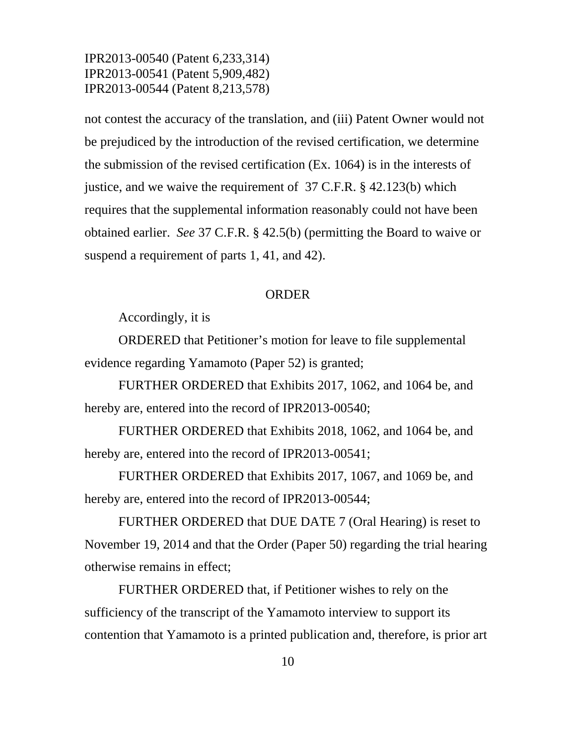not contest the accuracy of the translation, and (iii) Patent Owner would not be prejudiced by the introduction of the revised certification, we determine the submission of the revised certification (Ex. 1064) is in the interests of justice, and we waive the requirement of 37 C.F.R. § 42.123(b) which requires that the supplemental information reasonably could not have been obtained earlier. *See* 37 C.F.R. § 42.5(b) (permitting the Board to waive or suspend a requirement of parts 1, 41, and 42).

#### ORDER

Accordingly, it is

 ORDERED that Petitioner's motion for leave to file supplemental evidence regarding Yamamoto (Paper 52) is granted;

 FURTHER ORDERED that Exhibits 2017, 1062, and 1064 be, and hereby are, entered into the record of IPR2013-00540;

FURTHER ORDERED that Exhibits 2018, 1062, and 1064 be, and hereby are, entered into the record of IPR2013-00541;

FURTHER ORDERED that Exhibits 2017, 1067, and 1069 be, and hereby are, entered into the record of IPR2013-00544;

FURTHER ORDERED that DUE DATE 7 (Oral Hearing) is reset to November 19, 2014 and that the Order (Paper 50) regarding the trial hearing otherwise remains in effect;

FURTHER ORDERED that, if Petitioner wishes to rely on the sufficiency of the transcript of the Yamamoto interview to support its contention that Yamamoto is a printed publication and, therefore, is prior art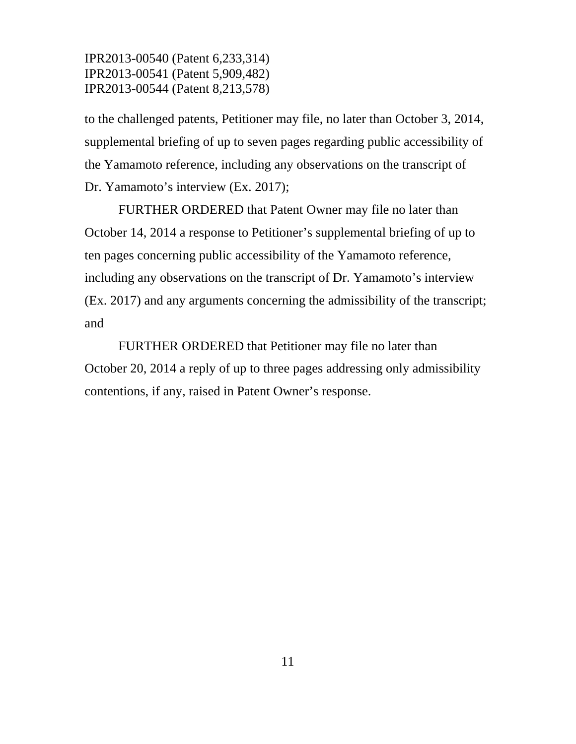to the challenged patents, Petitioner may file, no later than October 3, 2014, supplemental briefing of up to seven pages regarding public accessibility of the Yamamoto reference, including any observations on the transcript of Dr. Yamamoto's interview (Ex. 2017);

FURTHER ORDERED that Patent Owner may file no later than October 14, 2014 a response to Petitioner's supplemental briefing of up to ten pages concerning public accessibility of the Yamamoto reference, including any observations on the transcript of Dr. Yamamoto's interview (Ex. 2017) and any arguments concerning the admissibility of the transcript; and

FURTHER ORDERED that Petitioner may file no later than October 20, 2014 a reply of up to three pages addressing only admissibility contentions, if any, raised in Patent Owner's response.